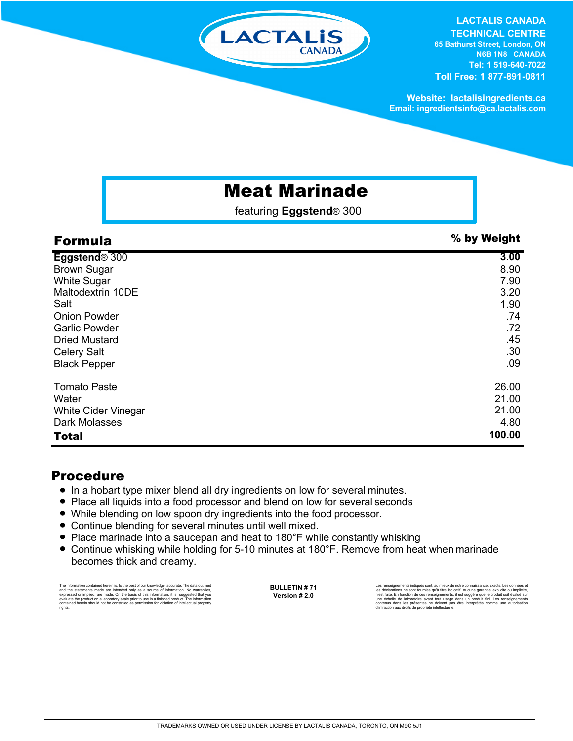

**LACTALIS CANADA TECHNICAL CENTRE 65 Bathurst Street, London, ON** 

**N6B 1N8 CANADA Tel: 1 519-640-7022 Toll Free: 1 877-891-0811**

**Website: lactalisingredients.ca Email: ingredientsinfo@ca.lactalis.com**

## Meat Marinade

featuring **Eggstend**® 300

| <b>Formula</b>             | % by Weight |
|----------------------------|-------------|
| Eggstend <sup>®</sup> 300  | 3.00        |
| <b>Brown Sugar</b>         | 8.90        |
| <b>White Sugar</b>         | 7.90        |
| Maltodextrin 10DE          | 3.20        |
| Salt                       | 1.90        |
| <b>Onion Powder</b>        | .74         |
| <b>Garlic Powder</b>       | .72         |
| <b>Dried Mustard</b>       | .45         |
| <b>Celery Salt</b>         | .30         |
| <b>Black Pepper</b>        | .09         |
| <b>Tomato Paste</b>        | 26.00       |
| Water                      | 21.00       |
| <b>White Cider Vinegar</b> | 21.00       |
| Dark Molasses              | 4.80        |
| <b>Total</b>               | 100.00      |

## Procedure

- In a hobart type mixer blend all dry ingredients on low for several minutes.
- Place all liquids into a food processor and blend on low for several seconds
- While blending on low spoon dry ingredients into the food processor.
- Continue blending for several minutes until well mixed.
- Place marinade into a saucepan and heat to 180°F while constantly whisking
- Continue whisking while holding for 5-10 minutes at 180°F. Remove from heat when marinade becomes thick and creamy.

The information contained herein is, to the best of our knowledge, accurate. The data cutlined the statements made are intended only as a source of information. No warranties, expressed or implied, are made. On the basis o

**BULLETIN # 71 Version # 2.0**

Les renseignements indiqués sont, au mieux de notre connaissance, exacts. Les données et<br>les déclarations ne sont fournies qu'à titre indicatif. Aucune garantie, explicite ou implicite,<br>riest faite. En fonction de ces rens